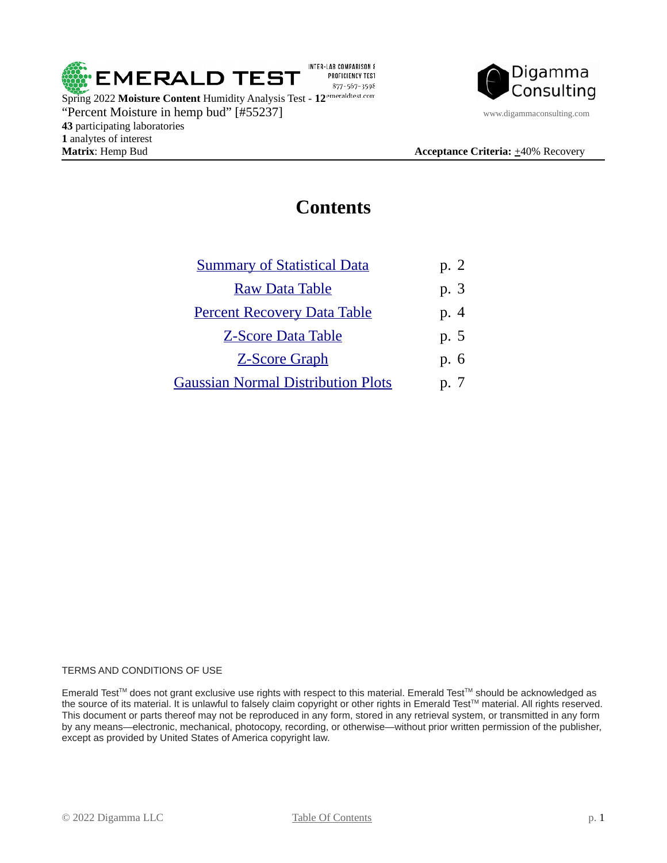

**1** analytes of interest



### <span id="page-0-0"></span>**Contents**

| <b>Summary of Statistical Data</b>        | p. 2 |
|-------------------------------------------|------|
| <b>Raw Data Table</b>                     | p. 3 |
| <b>Percent Recovery Data Table</b>        | p. 4 |
| <b>Z-Score Data Table</b>                 | p. 5 |
| <b>Z-Score Graph</b>                      | p. 6 |
| <b>Gaussian Normal Distribution Plots</b> | p. 7 |
|                                           |      |

#### TERMS AND CONDITIONS OF USE

Emerald Test™ does not grant exclusive use rights with respect to this material. Emerald Test™ should be acknowledged as the source of its material. It is unlawful to falsely claim copyright or other rights in Emerald Test™ material. All rights reserved. This document or parts thereof may not be reproduced in any form, stored in any retrieval system, or transmitted in any form by any means—electronic, mechanical, photocopy, recording, or otherwise—without prior written permission of the publisher, except as provided by United States of America copyright law.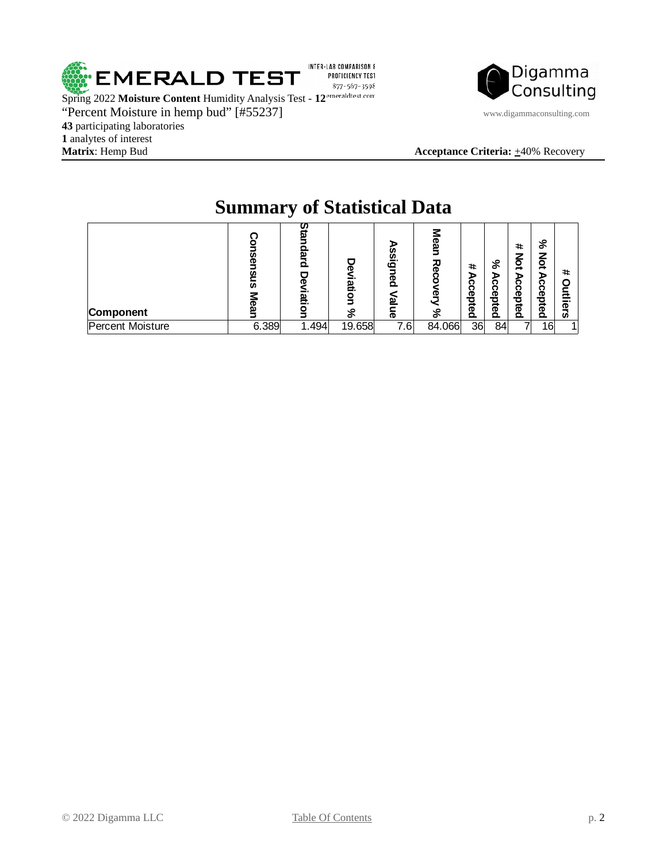

Spring 2022 **Moisture Content** Humidity Analysis Test - **12** "Percent Moisture in hemp bud" [#55237] www.digammaconsulting.com **43** participating laboratories 1 analytes of interest<br>**Matrix**: Hemp Bud



**Acceptance Criteria:**  $\pm 40\%$  Recovery

# <span id="page-1-0"></span>**Summary of Statistical Data**

| Component        | w     | ຒ<br>o<br>ഇ<br>▭ | መ<br>latio<br>š<br>వి | <u>ဖ</u> .<br>ه<br><u>ප</u><br>$\overline{\sigma}$ | መ<br>۵<br>꼬<br>መ<br>⌒ | #<br>ъ<br>ົດ<br>ი<br>Õ<br>pted | &<br>ъ<br>ი<br>ຕ<br><u>ወ</u><br>bted | #<br>7<br>ğ<br>ъ<br>ი<br>ი<br>Õ<br>o<br>Ĕeq | ℅<br>⊆<br>o<br>∸<br>ъ<br>ຕ<br>ຕ<br>Φ<br>o<br>ଟି<br>Ō. | #<br>Ξ<br>ers |
|------------------|-------|------------------|-----------------------|----------------------------------------------------|-----------------------|--------------------------------|--------------------------------------|---------------------------------------------|-------------------------------------------------------|---------------|
| Percent Moisture | 6.389 | 1.494            | 19.658                | 7.6                                                | 84.066                | 36                             | 84                                   |                                             | 16                                                    |               |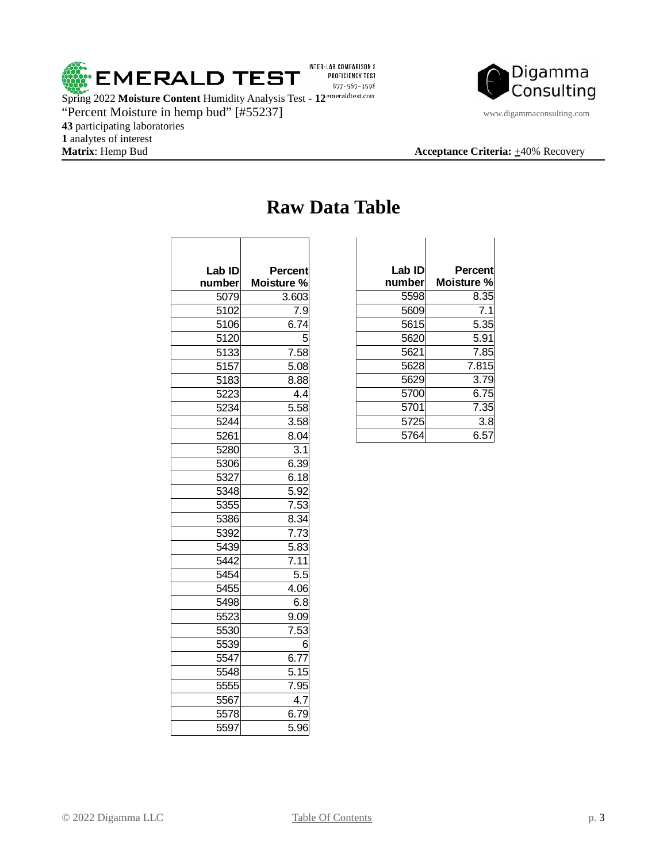

Digamma Consulting

### **Acceptance Criteria:**  $\pm 40\%$  Recovery

"Percent Moisture in hemp bud" [#55237] www.digammaconsulting.com participating laboratories 1 analytes of interest<br>**Matrix**: Hemp Bud

 $\sqrt{2}$ 

| Lab ID | Percent           |
|--------|-------------------|
| number | Moisture %        |
| 5079   | 3.603             |
| 5102   | 7.9               |
| 5106   | 6.74              |
| 5120   |                   |
| 5133   | 7.58              |
| 5157   | 5.08              |
| 5183   | 8.88              |
| 5223   | 4.4               |
| 5234   | $\overline{5.58}$ |
| 5244   | 3.58              |
| 5261   | 8.04              |
| 5280   | 3.1               |
| 5306   | 6.39              |
| 5327   | 6.18              |
| 5348   | 5.92              |
| 5355   | 7.53              |
| 5386   | 8.34              |
| 5392   | 7.73              |
| 5439   | 5.83              |
| 5442   | 7.11              |
| 5454   | 5.5               |
| 5455   | 4.06              |
| 5498   | 6.8               |
| 5523   | 9.09              |
| 5530   | 7.53              |
| 5539   |                   |
| 5547   | 6.77              |
| 5548   | 5.15              |
| 5555   | 7.95              |
| 5567   | 4.7               |
| 5578   | 6.79              |
| 5597   | 5.96              |

Τ

### <span id="page-2-0"></span>**Raw Data Table**

 $\overline{\phantom{a}}$ 

| Lab ID | Percent    |
|--------|------------|
| number | Moisture % |
| 5598   | 8.35       |
| 5609   | 7.1        |
| 5615   | 5.35       |
| 5620   | 5.91       |
| 5621   | 7.85       |
| 5628   | 7.815      |
| 5629   | 3.79       |
| 5700   | 6.75       |
| 5701   | 7.35       |
| 5725   | 3.8        |
| 5764   | 6.57       |

 $\overline{\phantom{a}}$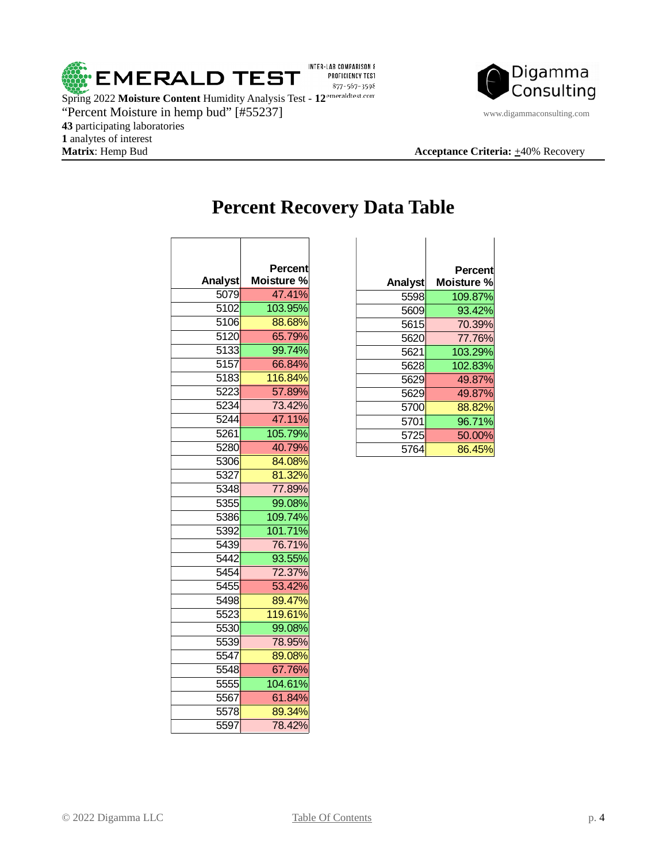



**Acceptance Criteria:**  $\pm 40\%$  Recovery

 $\overline{\phantom{0}}$ 

## <span id="page-3-0"></span>**Percent Recovery Data Table**

|         | Percent           |
|---------|-------------------|
| Analyst | <b>Moisture %</b> |
| 5079    | 47.41%            |
| 5102    | 103.95%           |
| 5106    | 88.68%            |
| 5120    | 65.79%            |
| 5133    | 99.74%            |
| 5157    | 66.84%            |
| 5183    | 116.84%           |
| 5223    | 57.89%            |
| 5234    | 73.42%            |
| 5244    | 47.11%            |
| 5261    | 105.79%           |
| 5280    | 40.79%            |
| 5306    | 84.08%            |
| 5327    | 81.32%            |
| 5348    | 77.89%            |
| 5355    | 99.08%            |
| 5386    | 109.74%           |
| 5392    | 101.71%           |
| 5439    | 76.71%            |
| 5442    | 93.55%            |
| 5454    | 72.37%            |
| 5455    | 53.42%            |
| 5498    | 89.47%            |
| 5523    | 119.61%           |
| 5530    | 99.08%            |
| 5539    | 78.95%            |
| 5547    | 89.08%            |
| 5548    | 67.76%            |
| 5555    | 104.61%           |
| 5567    | 61.84%            |
| 5578    | 89.34%            |
| 5597    | 78.42%            |

| Percent           |         | Percent    |
|-------------------|---------|------------|
| <b>Moisture %</b> | Analyst | Moisture % |
| 47.41%            | 5598    | 109.87%    |
| 103.95%           | 5609    | 93.42%     |
| 88.68%            | 5615    | 70.39%     |
| 65.79%            | 5620    | 77.76%     |
| 99.74%            | 5621    | 103.29%    |
| 66.84%            | 5628    | 102.83%    |
| 116.84%           | 5629    | 49.87%     |
| 57.89%            | 5629    | 49.87%     |
| 73.42%            | 5700    | 88.82%     |
| 47.11%            | 5701    | 96.71%     |
| 105.79%           | 5725    | 50.00%     |
| 40.79%            | 5764    | 86.45%     |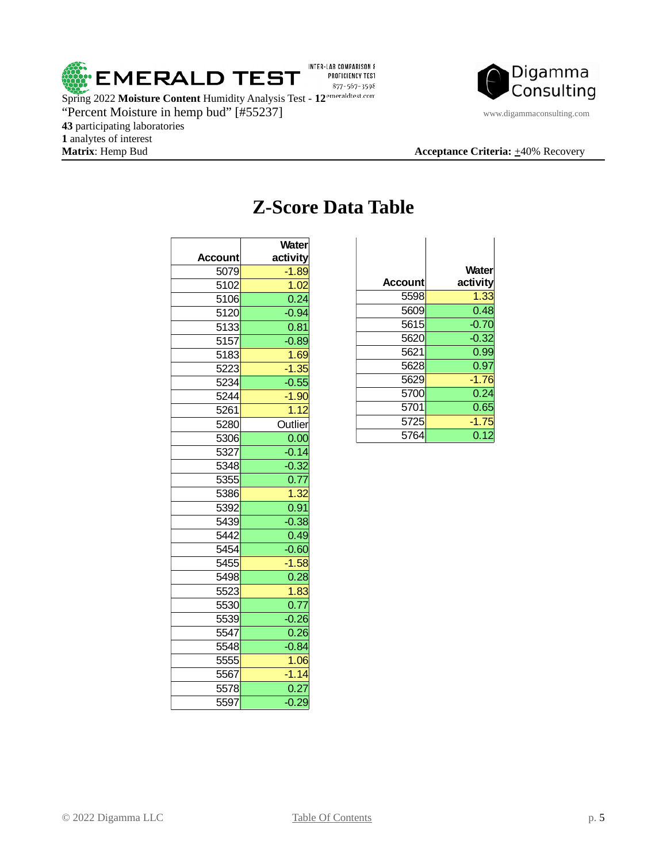



#### **Acceptance Criteria:**  $\pm 40\%$  Recovery

 participating laboratories 1 analytes of interest<br>**Matrix**: Hemp Bud

| <b>Account</b> | <b>Water</b><br>activity |
|----------------|--------------------------|
| 5079           | $-1.89$                  |
| 5102           | 1.02                     |
| 5106           | 0.24                     |
| 5120           | $-0.94$                  |
| 5133           | 0.81                     |
| 5157           | $-0.89$                  |
| 5183           | 1.69                     |
| 5223           | $-1.35$                  |
| 5234           | $-0.55$                  |
| 5244           | $-1.90$                  |
| 5261           | 1.12                     |
| 5280           | Outlier                  |
| 5306           | 0.00                     |
| 5327           | $-0.14$                  |
| 5348           | $-0.32$                  |
| 5355           | 0.77                     |
| 5386           | 1.32                     |
| 5392           | 0.91                     |
| 5439           | $-0.38$                  |
| 5442           | 0.49                     |
| 5454           | $-0.60$                  |
| 5455           | $-1.58$                  |
| 5498           | 0.28                     |
| 5523           | 1.83                     |
| 5530           | 0.77                     |
| 5539           | $-0.26$                  |
| 5547           | 0.26                     |
| 5548           | $-0.84$                  |
| 5555           | 1.06                     |
| 5567           | $-1.14$                  |
| 5578           | 0.27                     |
| 5597           | $-0.29$                  |

## <span id="page-4-0"></span>**Z-Score Data Table**

| <b>Account</b> | <b>Water</b><br>activity |
|----------------|--------------------------|
| 5598           | 1.33                     |
| 5609           | 0.48                     |
| 5615           | $-0.70$                  |
| 5620           | $-0.32$                  |
| 5621           | 0.99                     |
| 5628           | 0.97                     |
| 5629           | $-1.76$                  |
| 5700           | 0.24                     |
| 5701           | 0.65                     |
| 5725           | $-1.75$                  |
| 5764           | 0.12                     |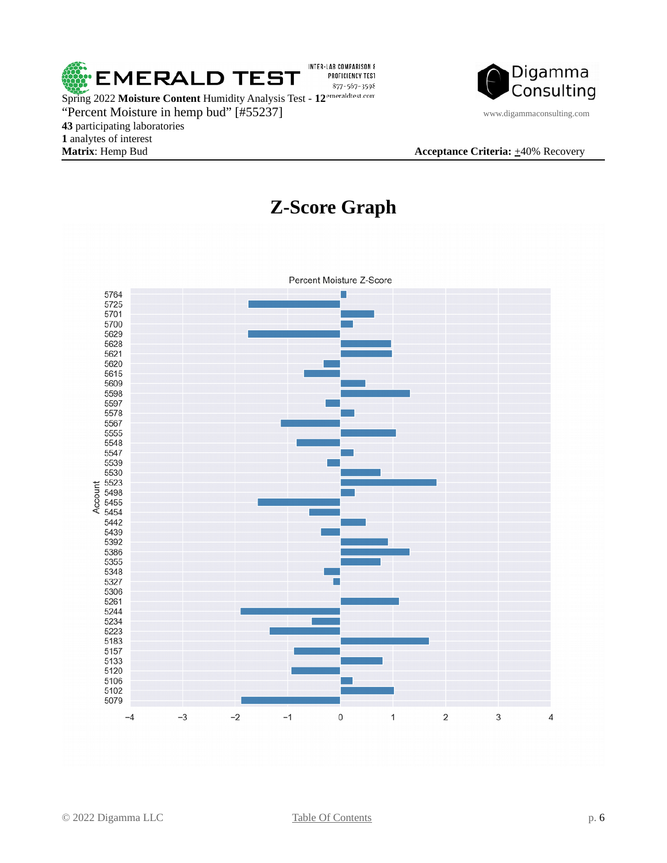



#### <span id="page-5-0"></span>**Matrix**: Hemp Bud **Acceptance Criteria:**  $\pm$ 40% Recovery